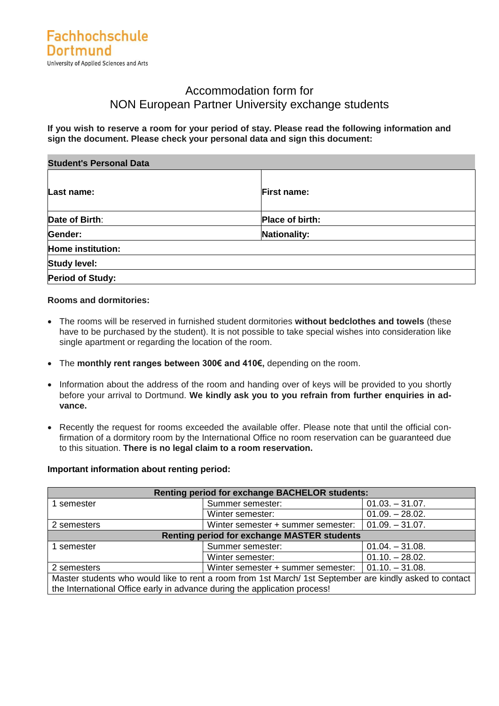## Accommodation form for NON European Partner University exchange students

**If you wish to reserve a room for your period of stay. Please read the following information and sign the document. Please check your personal data and sign this document:**

| <b>Student's Personal Data</b> |                    |
|--------------------------------|--------------------|
| Last name:                     | <b>First name:</b> |
| Date of Birth:                 | Place of birth:    |
| Gender:                        | Nationality:       |
| Home institution:              |                    |
| <b>Study level:</b>            |                    |
| <b>Period of Study:</b>        |                    |

#### **Rooms and dormitories:**

- The rooms will be reserved in furnished student dormitories **without bedclothes and towels** (these have to be purchased by the student). It is not possible to take special wishes into consideration like single apartment or regarding the location of the room.
- The **monthly rent ranges between 300€ and 410€,** depending on the room.
- Information about the address of the room and handing over of keys will be provided to you shortly before your arrival to Dortmund. **We kindly ask you to you refrain from further enquiries in advance.**
- Recently the request for rooms exceeded the available offer. Please note that until the official confirmation of a dormitory room by the International Office no room reservation can be guaranteed due to this situation. **There is no legal claim to a room reservation.**

#### **Important information about renting period:**

| <b>Renting period for exchange BACHELOR students:</b>                                                   |                                                         |                   |  |  |
|---------------------------------------------------------------------------------------------------------|---------------------------------------------------------|-------------------|--|--|
| 1 semester                                                                                              | Summer semester:                                        | $01.03 - 31.07$ . |  |  |
|                                                                                                         | Winter semester:                                        | $01.09. - 28.02.$ |  |  |
| 2 semesters                                                                                             | Winter semester + summer semester:<br>$01.09. - 31.07.$ |                   |  |  |
| <b>Renting period for exchange MASTER students</b>                                                      |                                                         |                   |  |  |
| Summer semester:<br>1 semester                                                                          |                                                         | $01.04. - 31.08.$ |  |  |
|                                                                                                         | Winter semester:                                        | $01.10 - 28.02$   |  |  |
| Winter semester + summer semester:<br>$01.10. - 31.08.$<br>2 semesters                                  |                                                         |                   |  |  |
| Master students who would like to rent a room from 1st March/ 1st September are kindly asked to contact |                                                         |                   |  |  |
| the International Office early in advance during the application process!                               |                                                         |                   |  |  |